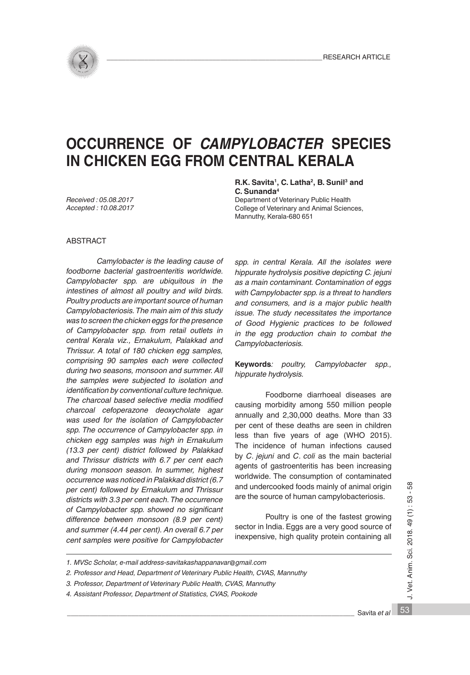

# **OCCURRENCE OF** *CAMPYLOBACTER* **SPECIES IN CHICKEN EGG FROM CENTRAL KERALA**

*Received : 05.08.2017 Accepted : 10.08.2017* **R.K. Savita1, C. Latha2, B. Sunil3 and C. Sunanda4**

Department of Veterinary Public Health College of Veterinary and Animal Sciences, Mannuthy, Kerala-680 651

#### ABSTRACT

*Camylobacter is the leading cause of foodborne bacterial gastroenteritis worldwide. Campylobacter spp. are ubiquitous in the intestines of almost all poultry and wild birds. Poultry products are important source of human Campylobacteriosis. The main aim of this study was to screen the chicken eggs for the presence of Campylobacter spp. from retail outlets in central Kerala viz., Ernakulum, Palakkad and Thrissur. A total of 180 chicken egg samples, comprising 90 samples each were collected during two seasons, monsoon and summer. All the samples were subjected to isolation and identification by conventional culture technique. The charcoal based selective media modified charcoal cefoperazone deoxycholate agar was used for the isolation of Campylobacter spp. The occurrence of Campylobacter spp. in chicken egg samples was high in Ernakulum (13.3 per cent) district followed by Palakkad and Thrissur districts with 6.7 per cent each during monsoon season. In summer, highest occurrence was noticed in Palakkad district (6.7 per cent) followed by Ernakulum and Thrissur districts with 3.3 per cent each. The occurrence of Campylobacter spp. showed no significant difference between monsoon (8.9 per cent) and summer (4.44 per cent). An overall 6.7 per cent samples were positive for Campylobacter* 

*spp. in central Kerala. All the isolates were hippurate hydrolysis positive depicting C. jejuni as a main contaminant. Contamination of eggs with Campylobacter spp. is a threat to handlers and consumers, and is a major public health issue. The study necessitates the importance of Good Hygienic practices to be followed in the egg production chain to combat the Campylobacteriosis.*

**Keywords***: poultry, Campylobacter spp., hippurate hydrolysis.*

Foodborne diarrhoeal diseases are causing morbidity among 550 million people annually and 2,30,000 deaths. More than 33 per cent of these deaths are seen in children less than five years of age (WHO 2015). The incidence of human infections caused by *C*. *jejuni* and *C*. *coli* as the main bacterial agents of gastroenteritis has been increasing worldwide. The consumption of contaminated and undercooked foods mainly of animal origin are the source of human campylobacteriosis.

Poultry is one of the fastest growing sector in India. Eggs are a very good source of inexpensive, high quality protein containing all

- *2. Professor and Head, Department of Veterinary Public Health, CVAS, Mannuthy*
- *3. Professor, Department of Veterinary Public Health, CVAS, Mannuthy*
- *4. Assistant Professor, Department of Statistics, CVAS, Pookode*

\_\_\_\_\_\_\_\_\_\_\_\_\_\_\_\_\_\_\_\_\_\_\_\_\_\_\_\_\_\_\_\_\_\_\_\_\_\_\_\_\_\_\_\_\_\_\_\_\_\_\_\_\_\_\_\_\_\_\_\_\_\_\_\_\_\_\_\_\_\_\_\_\_\_\_\_ Savita *et al*

58

*<sup>1.</sup> MVSc Scholar, e-mail address-savitakashappanavar@gmail.com*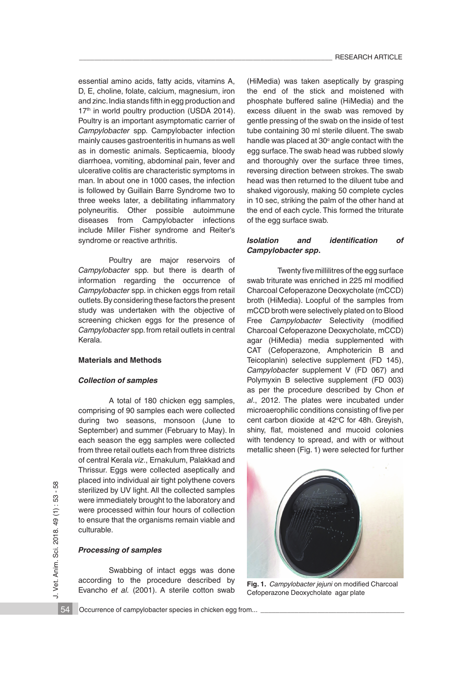essential amino acids, fatty acids, vitamins A, D, E, choline, folate, calcium, magnesium, iron and zinc. India stands fifth in egg production and 17<sup>th</sup> in world poultry production (USDA 2014). Poultry is an important asymptomatic carrier of *Campylobacter* spp. Campylobacter infection mainly causes gastroenteritis in humans as well as in domestic animals. Septicaemia, bloody diarrhoea, vomiting, abdominal pain, fever and ulcerative colitis are characteristic symptoms in man. In about one in 1000 cases, the infection is followed by Guillain Barre Syndrome two to three weeks later, a debilitating inflammatory polyneuritis. Other possible autoimmune diseases from Campylobacter infections include Miller Fisher syndrome and Reiter's syndrome or reactive arthritis.

Poultry are major reservoirs of *Campylobacter* spp. but there is dearth of information regarding the occurrence of *Campylobacter* spp. in chicken eggs from retail outlets. By considering these factors the present study was undertaken with the objective of screening chicken eggs for the presence of *Campylobacter* spp. from retail outlets in central Kerala.

#### **Materials and Methods**

#### *Collection of samples*

A total of 180 chicken egg samples, comprising of 90 samples each were collected during two seasons, monsoon (June to September) and summer (February to May). In each season the egg samples were collected from three retail outlets each from three districts of central Kerala *viz*., Ernakulum, Palakkad and Thrissur. Eggs were collected aseptically and placed into individual air tight polythene covers sterilized by UV light. All the collected samples were immediately brought to the laboratory and were processed within four hours of collection to ensure that the organisms remain viable and culturable.

### *Processing of samples*

Swabbing of intact eggs was done according to the procedure described by Evancho *et al.* (2001). A sterile cotton swab

(HiMedia) was taken aseptically by grasping the end of the stick and moistened with phosphate buffered saline (HiMedia) and the excess diluent in the swab was removed by gentle pressing of the swab on the inside of test tube containing 30 ml sterile diluent. The swab handle was placed at 30 $^{\circ}$  angle contact with the egg surface. The swab head was rubbed slowly and thoroughly over the surface three times, reversing direction between strokes. The swab head was then returned to the diluent tube and shaked vigorously, making 50 complete cycles in 10 sec, striking the palm of the other hand at the end of each cycle. This formed the triturate of the egg surface swab.

#### *Isolation and identification of Campylobacter spp***.**

Twenty five millilitres of the egg surface swab triturate was enriched in 225 ml modified Charcoal Cefoperazone Deoxycholate (mCCD) broth (HiMedia). Loopful of the samples from mCCD broth were selectively plated on to Blood Free *Campylobacter* Selectivity (modified Charcoal Cefoperazone Deoxycholate, mCCD) agar (HiMedia) media supplemented with CAT (Cefoperazone, Amphotericin B and Teicoplanin) selective supplement (FD 145), *Campylobacter* supplement V (FD 067) and Polymyxin B selective supplement (FD 003) as per the procedure described by Chon *et al*., 2012. The plates were incubated under microaerophilic conditions consisting of five per cent carbon dioxide at 42°C for 48h. Greyish, shiny, flat, moistened and mucoid colonies with tendency to spread, and with or without metallic sheen (Fig. 1) were selected for further



**Fig. 1.** *Campylobacter jejuni* on modified Charcoal Cefoperazone Deoxycholate agar plate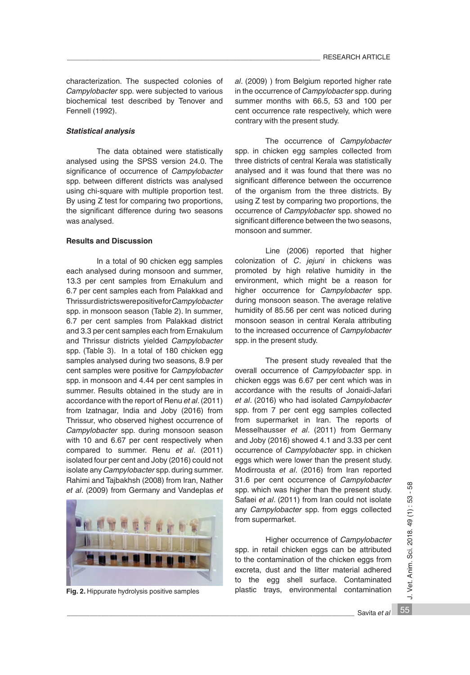characterization. The suspected colonies of *Campylobacter* spp. were subjected to various biochemical test described by Tenover and Fennell (1992).

## *Statistical analysis*

 The data obtained were statistically analysed using the SPSS version 24.0. The significance of occurrence of *Campylobacter* spp. between different districts was analysed using chi-square with multiple proportion test. By using Z test for comparing two proportions, the significant difference during two seasons was analysed.

## **Results and Discussion**

 In a total of 90 chicken egg samples each analysed during monsoon and summer, 13.3 per cent samples from Ernakulum and 6.7 per cent samples each from Palakkad and Thrissur districts were positive for *Campylobacter* spp. in monsoon season (Table 2). In summer, 6.7 per cent samples from Palakkad district and 3.3 per cent samples each from Ernakulum and Thrissur districts yielded *Campylobacter* spp. (Table 3). In a total of 180 chicken egg samples analysed during two seasons, 8.9 per cent samples were positive for *Campylobacter*  spp. in monsoon and 4.44 per cent samples in summer. Results obtained in the study are in accordance with the report of Renu *et al*. (2011) from Izatnagar, India and Joby (2016) from Thrissur, who observed highest occurrence of *Campylobacter* spp. during monsoon season with 10 and 6.67 per cent respectively when compared to summer. Renu *et al*. (2011) isolated four per cent and Joby (2016) could not isolate any *Campylobacter* spp. during summer. Rahimi and Tajbakhsh (2008) from Iran, Nather *et al*. (2009) from Germany and Vandeplas *et* 



**Fig. 2.** Hippurate hydrolysis positive samples

*al*. (2009) ) from Belgium reported higher rate in the occurrence of *Campylobacter* spp. during summer months with 66.5, 53 and 100 per cent occurrence rate respectively, which were contrary with the present study.

 The occurrence of *Campylobacter* spp. in chicken egg samples collected from three districts of central Kerala was statistically analysed and it was found that there was no significant difference between the occurrence of the organism from the three districts. By using Z test by comparing two proportions, the occurrence of *Campylobacter* spp. showed no significant difference between the two seasons, monsoon and summer.

Line (2006) reported that higher colonization of *C*. *jejuni* in chickens was promoted by high relative humidity in the environment, which might be a reason for higher occurrence for *Campylobacter* spp. during monsoon season. The average relative humidity of 85.56 per cent was noticed during monsoon season in central Kerala attributing to the increased occurrence of *Campylobacter* spp. in the present study.

The present study revealed that the overall occurrence of *Campylobacter* spp. in chicken eggs was 6.67 per cent which was in accordance with the results of Jonaidi-Jafari *et al*. (2016) who had isolated *Campylobacter* spp. from 7 per cent egg samples collected from supermarket in Iran. The reports of Messelhausser *et al*. (2011) from Germany and Joby (2016) showed 4.1 and 3.33 per cent occurrence of *Campylobacter* spp. in chicken eggs which were lower than the present study. Modirrousta *et al*. (2016) from Iran reported 31.6 per cent occurrence of *Campylobacter* spp. which was higher than the present study. Safaei *et al*. (2011) from Iran could not isolate any *Campylobacter* spp. from eggs collected from supermarket.

Higher occurrence of *Campylobacter* spp. in retail chicken eggs can be attributed to the contamination of the chicken eggs from excreta, dust and the litter material adhered to the egg shell surface. Contaminated plastic trays, environmental contamination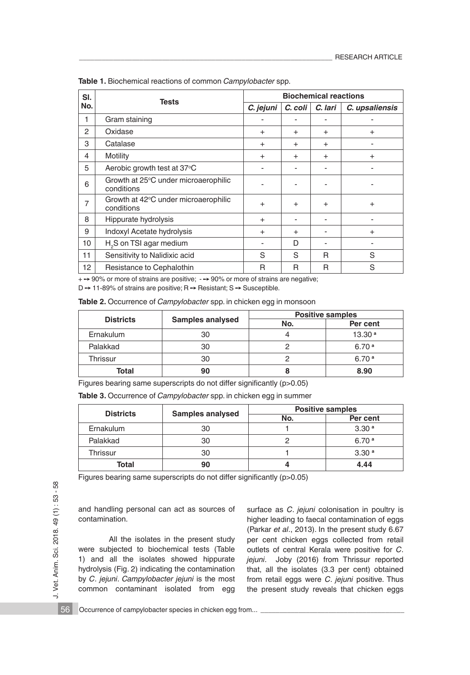| SI. | <b>Tests</b>                                       | <b>Biochemical reactions</b> |           |           |                |
|-----|----------------------------------------------------|------------------------------|-----------|-----------|----------------|
| No. |                                                    | C. jejuni                    | C. coli   | C. lari   | C. upsaliensis |
| 1   | Gram staining                                      |                              |           |           |                |
| 2   | Oxidase                                            | $+$                          | $\ddot{}$ | $+$       | $\ddot{}$      |
| 3   | Catalase                                           | $+$                          | $^{+}$    | $\ddot{}$ | -              |
| 4   | Motility                                           | $+$                          | $\ddot{}$ | $\ddot{}$ | $^{+}$         |
| 5   | Aerobic growth test at 37°C                        | $\overline{a}$               |           |           | -              |
| 6   | Growth at 25°C under microaerophilic<br>conditions |                              |           |           |                |
| 7   | Growth at 42°C under microaerophilic<br>conditions | $+$                          | $\ddot{}$ | $\ddot{}$ | $^{+}$         |
| 8   | Hippurate hydrolysis                               | $+$                          |           |           |                |
| 9   | Indoxyl Acetate hydrolysis                         | $+$                          | $\ddot{}$ |           | $^{+}$         |
| 10  | H <sub>2</sub> S on TSI agar medium                |                              | D         |           |                |
| 11  | Sensitivity to Nalidixic acid                      | S                            | S         | R         | S              |
| 12  | Resistance to Cephalothin                          | R                            | R         | R         | S              |

**Table 1.** Biochemical reactions of common *Campylobacter* spp.

 $+$   $\rightarrow$  90% or more of strains are positive;  $\rightarrow$  90% or more of strains are negative;

 $D \rightarrow 11$ -89% of strains are positive; R  $\rightarrow$  Resistant; S  $\rightarrow$  Susceptible.

|  |  | Table 2. Occurrence of Campylobacter spp. in chicken egg in monsoon |
|--|--|---------------------------------------------------------------------|
|--|--|---------------------------------------------------------------------|

|                  | <b>Samples analysed</b> | <b>Positive samples</b> |                    |  |
|------------------|-------------------------|-------------------------|--------------------|--|
| <b>Districts</b> |                         | No.                     | Per cent           |  |
| Ernakulum        | 30                      | 4                       | 13.30 <sup>a</sup> |  |
| Palakkad         | 30                      |                         | 6.70 <sup>a</sup>  |  |
| Thrissur         | 30                      |                         | 6.70 <sup>a</sup>  |  |
| Total            | 90                      | 8                       | 8.90               |  |

Figures bearing same superscripts do not differ significantly (p>0.05)

**Table 3.** Occurrence of *Campylobacter* spp. in chicken egg in summer

| <b>Districts</b> | <b>Samples analysed</b> | <b>Positive samples</b> |                   |  |
|------------------|-------------------------|-------------------------|-------------------|--|
|                  |                         | No.                     | Per cent          |  |
| Ernakulum        | 30                      |                         | 3.30 <sup>a</sup> |  |
| Palakkad         | 30                      |                         | 6.70 <sup>a</sup> |  |
| Thrissur         | 30                      |                         | 3.30 <sup>a</sup> |  |
| Total            | 90                      |                         | 4.44              |  |

Figures bearing same superscripts do not differ significantly (p>0.05)

and handling personal can act as sources of contamination.

All the isolates in the present study were subjected to biochemical tests (Table 1) and all the isolates showed hippurate hydrolysis (Fig. 2) indicating the contamination by *C*. *jejuni*. *Campylobacter jejuni* is the most common contaminant isolated from egg

surface as *C*. *jejuni* colonisation in poultry is higher leading to faecal contamination of eggs (Parkar *et al*., 2013). In the present study 6.67 per cent chicken eggs collected from retail outlets of central Kerala were positive for *C*. *jejuni*. Joby (2016) from Thrissur reported that, all the isolates (3.3 per cent) obtained from retail eggs were *C*. *jejuni* positive. Thus the present study reveals that chicken eggs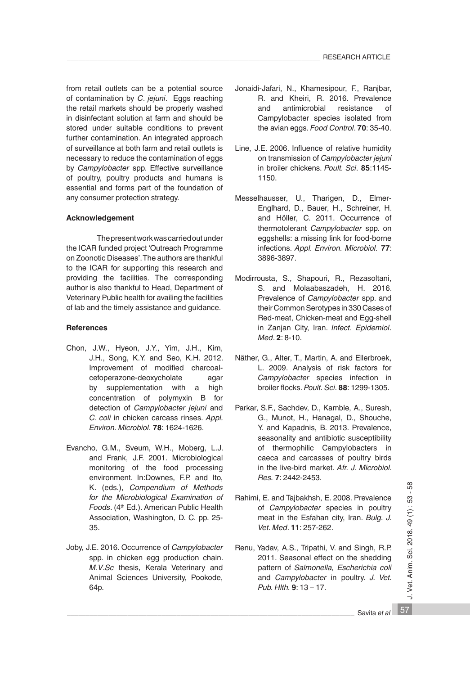from retail outlets can be a potential source of contamination by *C*. *jejuni*. Eggs reaching the retail markets should be properly washed in disinfectant solution at farm and should be stored under suitable conditions to prevent further contamination. An integrated approach of surveillance at both farm and retail outlets is necessary to reduce the contamination of eggs by *Campylobacter* spp. Effective surveillance of poultry, poultry products and humans is essential and forms part of the foundation of any consumer protection strategy.

## **Acknowledgement**

 The present work was carried out under the ICAR funded project 'Outreach Programme on Zoonotic Diseases'. The authors are thankful to the ICAR for supporting this research and providing the facilities. The corresponding author is also thankful to Head, Department of Veterinary Public health for availing the facilities of lab and the timely assistance and guidance.

## **References**

- Chon, J.W., Hyeon, J.Y., Yim, J.H., Kim, J.H., Song, K.Y. and Seo, K.H. 2012. Improvement of modified charcoalcefoperazone-deoxycholate agar by supplementation with a high concentration of polymyxin B for detection of *Campylobacter jejuni* and *C. coli* in chicken carcass rinses. *Appl. Environ. Microbiol*. **78**: 1624-1626.
- Evancho, G.M., Sveum, W.H., Moberg, L.J. and Frank, J.F. 2001. Microbiological monitoring of the food processing environment. In:Downes, F.P. and Ito, K. (eds.), *Compendium of Methods for the Microbiological Examination of*  Foods. (4<sup>th</sup> Ed.). American Public Health Association, Washington, D. C. pp. 25- 35.
- Joby, J.E. 2016. Occurrence of *Campylobacter* spp. in chicken egg production chain. *M*.*V*.*Sc* thesis, Kerala Veterinary and Animal Sciences University, Pookode, 64p.
- Jonaidi-Jafari, N., Khamesipour, F., Ranjbar, R. and Kheiri, R. 2016. Prevalence and antimicrobial resistance of Campylobacter species isolated from the avian eggs. *Food Control*. **70**: 35-40.
- Line, J.E. 2006. Influence of relative humidity on transmission of *Campylobacter jejuni* in broiler chickens. *Poult. Sci*. **85**:1145- 1150.
- Messelhausser, U., Tharigen, D., Elmer-Englhard, D., Bauer, H., Schreiner, H. and Höller, C. 2011. Occurrence of thermotolerant *Campylobacter* spp. on eggshells: a missing link for food-borne infections. *Appl. Environ. Microbiol.* **77**: 3896-3897.
- Modirrousta, S., Shapouri, R., Rezasoltani, S. and Molaabaszadeh, H. 2016. Prevalence of *Campylobacter* spp. and their Common Serotypes in 330 Cases of Red-meat, Chicken-meat and Egg-shell in Zanjan City, Iran. *Infect*. *Epidemiol*. *Med*. **2**: 8-10.
- Näther, G., Alter, T., Martin, A. and Ellerbroek, L. 2009. Analysis of risk factors for *Campylobacter* species infection in broiler flocks. *Poult. Sci*. **88**: 1299-1305.
- Parkar, S.F., Sachdev, D., Kamble, A., Suresh, G., Munot, H., Hanagal, D., Shouche, Y. and Kapadnis, B. 2013. Prevalence, seasonality and antibiotic susceptibility of thermophilic Campylobacters in caeca and carcasses of poultry birds in the live-bird market. *Afr. J. Microbiol. Res.* **7**: 2442-2453.
- Rahimi, E. and Tajbakhsh, E. 2008. Prevalence of *Campylobacter* species in poultry meat in the Esfahan city, Iran. *Bulg. J. Vet. Med*. **11**: 257-262.
- Renu, Yadav, A.S., Tripathi, V. and Singh, R.P. 2011. Seasonal effect on the shedding pattern of *Salmonella, Escherichia coli*  and *Campylobacter* in poultry. *J. Vet. Pub. Hlth.* **9**: 13 – 17.